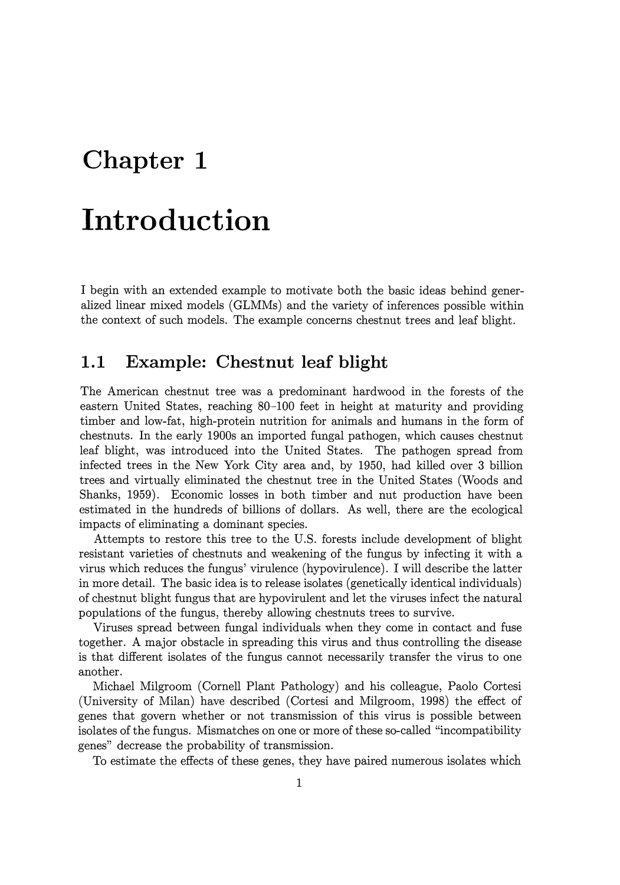# **Chapter 1**

# **Introduction**

I begin with an extended example to motivate both the basic ideas behind generalized linear mixed models (GLMMs) and the variety of inferences possible within the context of such models. The example concerns chestnut trees and leaf blight.

## **1.1 Example: Chestnut leaf blight**

The American chestnut tree was a predominant hardwood in the forests of the eastern United States, reaching 80-100 feet in height at maturity and providing timber and low-fat, high-protein nutrition for animals and humans in the form of chestnuts. In the early 1900s an imported fungal pathogen, which causes chestnut leaf blight, was introduced into the United States. The pathogen spread from infected trees in the New York City area and, by 1950, had killed over 3 billion trees and virtually eliminated the chestnut tree in the United States (Woods and Shanks, 1959). Economic losses in both timber and nut production have been estimated in the hundreds of billions of dollars. As well, there are the ecological impacts of eliminating a dominant species.

Attempts to restore this tree to the U.S. forests include development of blight resistant varieties of chestnuts and weakening of the fungus by infecting it with a virus which reduces the fungus' virulence (hypovirulence). I will describe the latter in more detail. The basic idea is to release isolates (genetically identical individuals) of chestnut blight fungus that are hypovirulent and let the viruses infect the natural populations of the fungus, thereby allowing chestnuts trees to survive.

Viruses spread between fungal individuals when they come in contact and fuse together. A major obstacle in spreading this virus and thus controlling the disease is that different isolates of the fungus cannot necessarily transfer the virus to one another.

Michael Milgroom (Cornell Plant Pathology) and his colleague, Paolo Cortesi (University of Milan) have described (Cortesi and Milgroom, 1998) the effect of genes that govern whether or not transmission of this virus is possible between isolates of the fungus. Mismatches on one or more of these so-called "incompatibility genes" decrease the probability of transmission.

To estimate the effects of these genes, they have paired numerous isolates which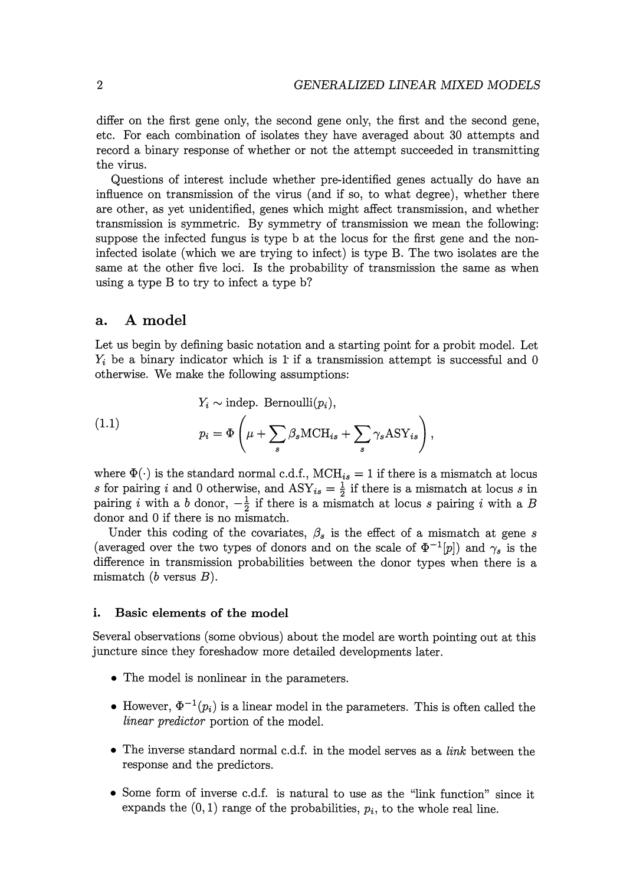differ on the first gene only, the second gene only, the first and the second gene, etc. For each combination of isolates they have averaged about 30 attempts and record a binary response of whether or not the attempt succeeded in transmitting the virus.

Questions of interest include whether pre-identified genes actually do have an influence on transmission of the virus (and if so, to what degree), whether there are other, as yet unidentified, genes which might affect transmission, and whether transmission is symmetric. By symmetry of transmission we mean the following: suppose the infected fungus is type b at the locus for the first gene and the noninfected isolate (which we are trying to infect) is type B. The two isolates are the same at the other five loci. Is the probability of transmission the same as when using a type B to try to infect a type b?

#### **a. A model**

Let us begin by defining basic notation and a starting point for a probit model. Let  $Y_i$  be a binary indicator which is 1 if a transmission attempt is successful and 0 otherwise. We make the following assumptions:

(1.1) 
$$
Y_i \sim \text{indep. Bernoulli}(p_i),
$$

$$
p_i = \Phi\left(\mu + \sum_s \beta_s \text{MCH}_{is} + \sum_s \gamma_s \text{ASY}_{is}\right),
$$

where  $\Phi(\cdot)$  is the standard normal c.d.f.,  $MCH_{is} = 1$  if there is a mismatch at locus *s* for pairing *i* and 0 otherwise, and  $\text{ASY}_{is} = \frac{1}{2}$  if there is a mismatch at locus *s* in pairing i with a *b* donor,  $-\frac{1}{2}$  if there is a mismatch at locus s pairing i with a *B* donor and 0 if there is no mismatch.

Under this coding of the covariates,  $\beta_s$  is the effect of a mismatch at gene s (averaged over the two types of donors and on the scale of  $\Phi^{-1}[p]$ ) and  $\gamma_s$  is the difference in transmission probabilities between the donor types when there is a mismatch  $(b \text{ versus } B)$ .

#### **i. Basic elements of the model**

Several observations (some obvious) about the model are worth pointing out at this juncture since they foreshadow more detailed developments later.

- The model is nonlinear in the parameters.
- However,  $\Phi^{-1}(p_i)$  is a linear model in the parameters. This is often called the *linear predictor* portion of the model.
- The inverse standard normal c.d.f. in the model serves as a *link* between the response and the predictors.
- Some form of inverse c.d.f. is natural to use as the "link function" since it expands the  $(0, 1)$  range of the probabilities,  $p_i$ , to the whole real line.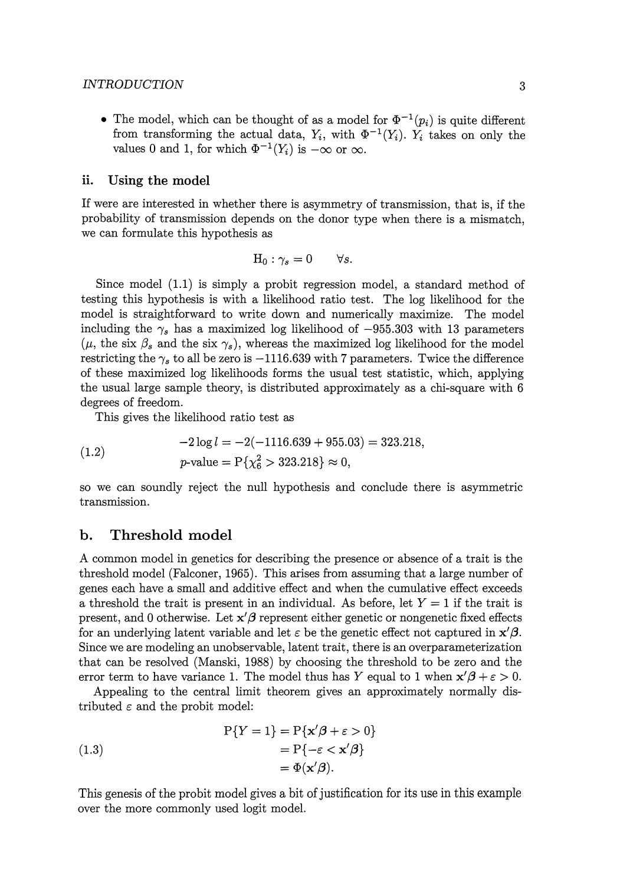#### *INTRODUCTION* 3

• The model, which can be thought of as a model for  $\Phi^{-1}(p_i)$  is quite different from transforming the actual data,  $Y_i$ , with  $\Phi^{-1}(Y_i)$ .  $Y_i$  takes on only the values 0 and 1, for which  $\Phi^{-1}(Y_i)$  is  $-\infty$  or  $\infty$ .

#### **ii. Using the model**

If were are interested in whether there is asymmetry of transmission, that is, if the probability of transmission depends on the donor type when there is a mismatch, we can formulate this hypothesis as

$$
\mathcal{H}_0: \gamma_s = 0 \qquad \forall s.
$$

Since model (1.1) is simply a probit regression model, a standard method of testing this hypothesis is with a likelihood ratio test. The log likelihood for the model is straightforward to write down and numerically maximize. The model including the  $\gamma_s$  has a maximized log likelihood of  $-955.303$  with 13 parameters  $(\mu,$  the six  $\beta_s$  and the six  $\gamma_s$ ), whereas the maximized log likelihood for the model restricting the  $\gamma_s$  to all be zero is  $-1116.639$  with 7 parameters. Twice the difference of these maximized log likelihoods forms the usual test statistic, which, applying the usual large sample theory, is distributed approximately as a chi-square with 6 degrees of freedom.

This gives the likelihood ratio test as

(1.2) 
$$
-2 \log l = -2(-1116.639 + 955.03) = 323.218,
$$

$$
p\text{-value} = P\{\chi_6^2 > 323.218\} \approx 0,
$$

so we can soundly reject the null hypothesis and conclude there is asymmetric transmission.

#### **b. Threshold model**

A common model in genetics for describing the presence or absence of a trait is the threshold model (Falconer, 1965). This arises from assuming that a large number of genes each have a small and additive effect and when the cumulative effect exceeds a threshold the trait is present in an individual. As before, let  $Y = 1$  if the trait is present, and 0 otherwise. Let  $x' \beta$  represent either genetic or nongenetic fixed effects for an underlying latent variable and let  $\varepsilon$  be the genetic effect not captured in  $\mathbf{x}'\mathbf{\beta}$ . Since we are modeling an unobservable, latent trait, there is an overparameterization that can be resolved (Manski, 1988) by choosing the threshold to be zero and the error term to have variance 1. The model thus has *Y* equal to 1 when  $x' \beta + \varepsilon > 0$ .

Appealing to the central limit theorem gives an approximately normally distributed  $\varepsilon$  and the probit model:

(1.3)  
\n
$$
P{Y = 1} = P{x'\beta + \varepsilon > 0}
$$
\n
$$
= P{-\varepsilon < x'\beta}
$$
\n
$$
= \Phi(x'\beta).
$$

This genesis of the probit model gives a bit of justification for its use in this example over the more commonly used logit model.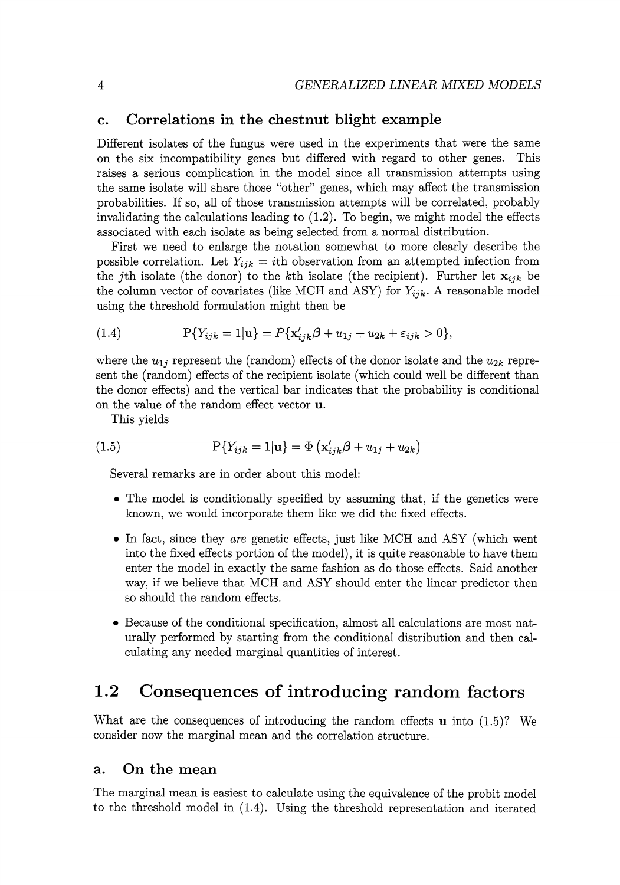#### **c. Correlations in the chestnut blight example**

Different isolates of the fungus were used in the experiments that were the same on the six incompatibility genes but differed with regard to other genes. This raises a serious complication in the model since all transmission attempts using the same isolate will share those "other" genes, which may affect the transmission probabilities. If so, all of those transmission attempts will be correlated, probably invalidating the calculations leading to (1.2). To begin, we might model the effects associated with each isolate as being selected from a normal distribution.

First we need to enlarge the notation somewhat to more clearly describe the possible correlation. Let  $Y_{ijk} = i$ th observation from an attempted infection from the jth isolate (the donor) to the kth isolate (the recipient). Further let  $\mathbf{x}_{ijk}$  be the column vector of covariates (like MCH and ASY) for  $Y_{ijk}$ . A reasonable model using the threshold formulation might then be

(1.4) 
$$
P\{Y_{ijk} = 1 | \mathbf{u}\} = P\{\mathbf{x}'_{ijk}\boldsymbol{\beta} + u_{1j} + u_{2k} + \varepsilon_{ijk} > 0\},\
$$

where the  $u_{1j}$  represent the (random) effects of the donor isolate and the  $u_{2k}$  represent the (random) effects of the recipient isolate (which could well be different than the donor effects) and the vertical bar indicates that the probability is conditional on the value of the random effect vector **u.** 

This yields

$$
(1.5) \t\t\t P{Y_{ijk} = 1|\mathbf{u} = \Phi\left(\mathbf{x}'_{ijk}\boldsymbol{\beta} + u_{1j} + u_{2k}\right)}
$$

Several remarks are in order about this model:

- The model is conditionally specified by assuming that, if the genetics were known, we would incorporate them like we did the fixed effects.
- In fact, since they *are* genetic effects, just like MCH and ASY (which went into the fixed effects portion of the model), it is quite reasonable to have them enter the model in exactly the same fashion as do those effects. Said another way, if we believe that MCH and ASY should enter the linear predictor then so should the random effects.
- Because of the conditional specification, almost all calculations are most naturally performed by starting from the conditional distribution and then calculating any needed marginal quantities of interest.

## **1.2 Consequences of introducing random factors**

What are the consequences of introducing the random effects **u** into (1.5)? We consider now the marginal mean and the correlation structure.

#### **a. On the mean**

The marginal mean is easiest to calculate using the equivalence of the probit model to the threshold model in (1.4). Using the threshold representation and iterated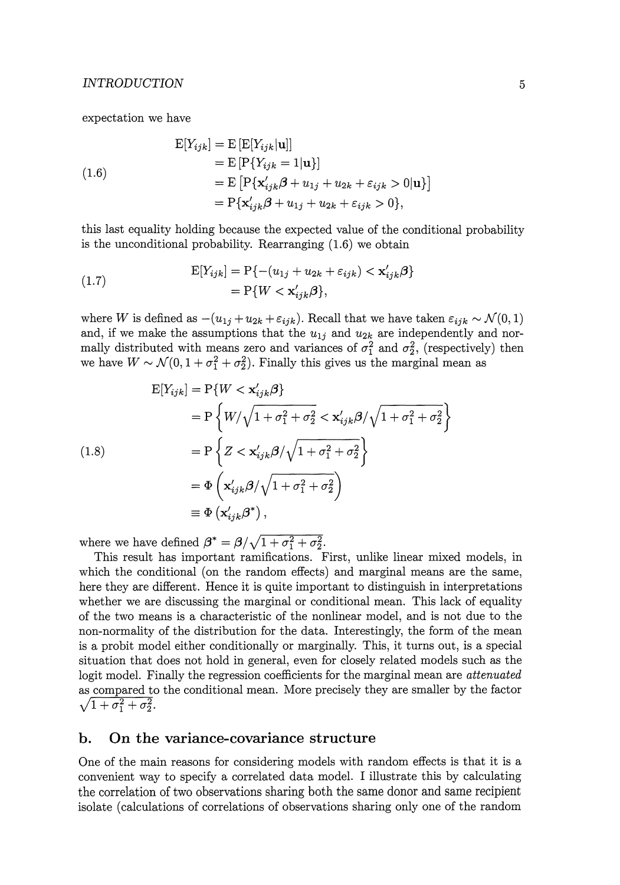expectation we have

(1.6)  
\n
$$
\begin{aligned}\n\mathbf{E}[Y_{ijk}] &= \mathbf{E} [\mathbf{E}[Y_{ijk}|\mathbf{u}]] \\
&= \mathbf{E} [\mathbf{P}\{Y_{ijk} = 1|\mathbf{u}\}] \\
&= \mathbf{E} [\mathbf{P}\{\mathbf{x}'_{ijk}\boldsymbol{\beta} + u_{1j} + u_{2k} + \varepsilon_{ijk} > 0|\mathbf{u}\}] \\
&= \mathbf{P}\{\mathbf{x}'_{ijk}\boldsymbol{\beta} + u_{1j} + u_{2k} + \varepsilon_{ijk} > 0\},\n\end{aligned}
$$

this last equality holding because the expected value of the conditional probability is the unconditional probability. Rearranging (1.6) we obtain

(1.7) 
$$
\begin{aligned} \mathbf{E}[Y_{ijk}] &= \mathbf{P}\{-(u_{1j} + u_{2k} + \varepsilon_{ijk}) < \mathbf{x}'_{ijk}\boldsymbol{\beta}\} \\ &= \mathbf{P}\{W < \mathbf{x}'_{ijk}\boldsymbol{\beta}\}, \end{aligned}
$$

where W is defined as  $-(u_{1j} + u_{2k} + \varepsilon_{ijk})$ . Recall that we have taken  $\varepsilon_{ijk} \sim \mathcal{N}(0, 1)$ and, if we make the assumptions that the  $u_{1j}$  and  $u_{2k}$  are independently and normally distributed with means zero and variances of  $\sigma_1^2$  and  $\sigma_2^2$ , (respectively) then we have  $W \sim \mathcal{N}(0, 1 + \sigma_1^2 + \sigma_2^2)$ . Finally this gives us the marginal mean as

$$
E[Y_{ijk}] = P\{W < \mathbf{x}'_{ijk}\beta\}
$$
\n
$$
= P\left\{W/\sqrt{1 + \sigma_1^2 + \sigma_2^2} < \mathbf{x}'_{ijk}\beta/\sqrt{1 + \sigma_1^2 + \sigma_2^2}\right\}
$$
\n
$$
= P\left\{Z < \mathbf{x}'_{ijk}\beta/\sqrt{1 + \sigma_1^2 + \sigma_2^2}\right\}
$$
\n
$$
= \Phi\left(\mathbf{x}'_{ijk}\beta/\sqrt{1 + \sigma_1^2 + \sigma_2^2}\right)
$$
\n
$$
\equiv \Phi\left(\mathbf{x}'_{ijk}\beta^*\right),
$$

where we have defined  $\beta^* = \beta / \sqrt{1 + \sigma_1^2 + \sigma_2^2}$ .

This result has important ramifications. First, unlike linear mixed models, in which the conditional (on the random effects) and marginal means are the same, here they are different. Hence it is quite important to distinguish in interpretations whether we are discussing the marginal or conditional mean. This lack of equality of the two means is a characteristic of the nonlinear model, and is not due to the non-normality of the distribution for the data. Interestingly, the form of the mean is a probit model either conditionally or marginally. This, it turns out, is a special situation that does not hold in general, even for closely related models such as the logit model. Finally the regression coefficients for the marginal mean are *attenuated*  as compared to the conditional mean. More precisely they are smaller by the factor  $\sqrt{1 + \sigma_1^2 + \sigma_2^2}.$ 

#### **b. On the variance-covariance structure**

One of the main reasons for considering models with random effects is that it is a convenient way to specify a correlated data model. I illustrate this by calculating the correlation of two observations sharing both the same donor and same recipient isolate (calculations of correlations of observations sharing only one of the random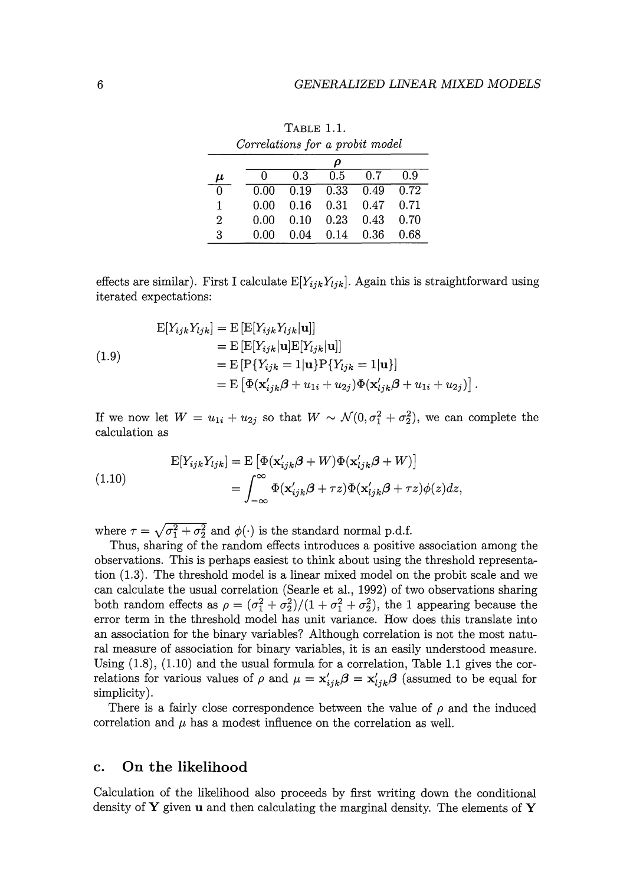|                    |      |      | ρ                    |      |      |
|--------------------|------|------|----------------------|------|------|
| $\boldsymbol{\mu}$ | ∩    | 0.3  | 0.5                  | 0.7  | 0.9  |
| $\overline{0}$     | 0.00 |      | $0.19$ $0.33$ $0.49$ |      | 0.72 |
| 1                  | 0.00 |      | $0.16$ $0.31$        | 0.47 | 0.71 |
| 2                  | 0.00 | 0.10 | $0.23$ 0.43          |      | 0.70 |
| 3                  | 0.00 | 0.04 | 0.14                 | 0.36 | 0.68 |

TABLE 1.1. *Correlations for a probit model* 

effects are similar). First I calculate  $E[Y_{ijk}Y_{ljk}]$ . Again this is straightforward using iterated expectations:

(1.9)  
\n
$$
\begin{aligned}\n\mathbf{E}[Y_{ijk}Y_{ljk}] &= \mathbf{E}\left[\mathbf{E}[Y_{ijk}Y_{ljk}|\mathbf{u}]\right] \\
&= \mathbf{E}\left[\mathbf{E}[Y_{ijk}|\mathbf{u}]\mathbf{E}[Y_{ljk}|\mathbf{u}]\right] \\
&= \mathbf{E}\left[\mathbf{P}\{Y_{ijk} = 1|\mathbf{u}\}\mathbf{P}\{Y_{ljk} = 1|\mathbf{u}\}\right] \\
&= \mathbf{E}\left[\Phi(\mathbf{x}'_{ijk}\boldsymbol{\beta} + u_{1i} + u_{2j})\Phi(\mathbf{x}'_{ljk}\boldsymbol{\beta} + u_{1i} + u_{2j})\right].\n\end{aligned}
$$

If we now let  $W = u_{1i} + u_{2j}$  so that  $W \sim \mathcal{N}(0, \sigma_1^2 + \sigma_2^2)$ , we can complete the calculation as

(1.10)  
\n
$$
\mathcal{E}[Y_{ijk}Y_{ljk}] = \mathcal{E}\left[\Phi(\mathbf{x}'_{ijk}\boldsymbol{\beta} + W)\Phi(\mathbf{x}'_{ljk}\boldsymbol{\beta} + W)\right]
$$
\n
$$
= \int_{-\infty}^{\infty} \Phi(\mathbf{x}'_{ijk}\boldsymbol{\beta} + \tau z)\Phi(\mathbf{x}'_{ljk}\boldsymbol{\beta} + \tau z)\phi(z)dz,
$$

where  $\tau = \sqrt{\sigma_1^2 + \sigma_2^2}$  and  $\phi(\cdot)$  is the standard normal p.d.f.

Thus, sharing of the random effects introduces a positive association among the observations. This is perhaps easiest to think about using the threshold representation (1.3). The threshold model is a linear mixed model on the probit scale and we can calculate the usual correlation (Searle et al., 1992) of two observations sharing both random effects as  $\rho = (\sigma_1^2 + \sigma_2^2)/(1 + \sigma_1^2 + \sigma_2^2)$ , the 1 appearing because the error term in the threshold model has unit variance. How does this translate into an association for the binary variables? Although correlation is not the most natural measure of association for binary variables, it is an easily understood measure. Using  $(1.8)$ ,  $(1.10)$  and the usual formula for a correlation, Table 1.1 gives the correlations for various values of  $\rho$  and  $\mu = \mathbf{x}'_{ijk}\boldsymbol{\beta} = \mathbf{x}'_{ijk}\boldsymbol{\beta}$  (assumed to be equal for simplicity).

There is a fairly close correspondence between the value of  $\rho$  and the induced correlation and  $\mu$  has a modest influence on the correlation as well.

#### c. **On the likelihood**

Calculation of the likelihood also proceeds by first writing down the conditional density of Y given **u** and then calculating the marginal density. The elements of Y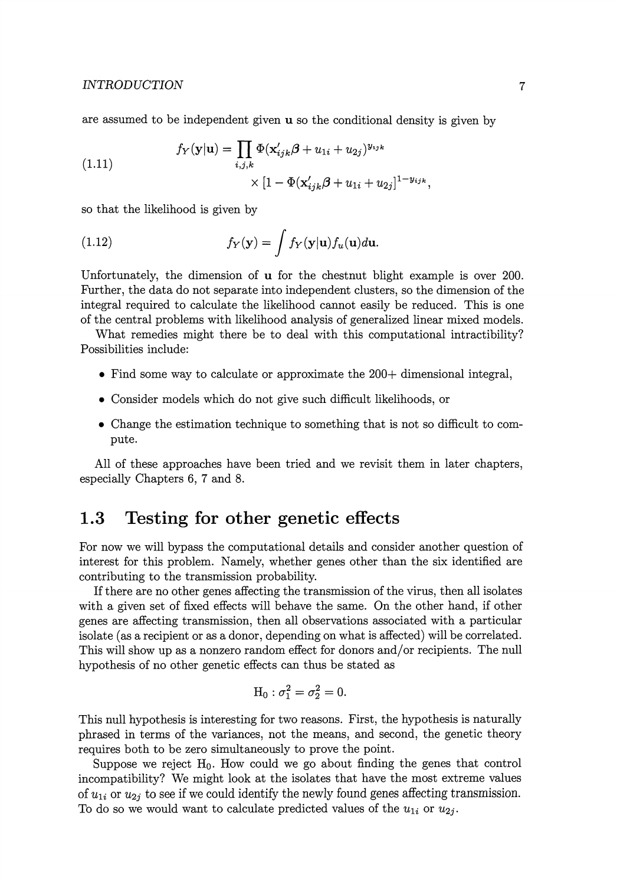are assumed to be independent given  $\bf{u}$  so the conditional density is given by

(1.11) 
$$
f_Y(\mathbf{y}|\mathbf{u}) = \prod_{i,j,k} \Phi(\mathbf{x}'_{ijk}\boldsymbol{\beta} + u_{1i} + u_{2j})^{y_{ijk}} \times [1 - \Phi(\mathbf{x}'_{ijk}\boldsymbol{\beta} + u_{1i} + u_{2j}]^{1-y_{ijk}},
$$

so that the likelihood is given by

(1.12) 
$$
f_Y(\mathbf{y}) = \int f_Y(\mathbf{y}|\mathbf{u}) f_u(\mathbf{u}) d\mathbf{u}.
$$

Unfortunately, the dimension of **u** for the chestnut blight example is over 200. Further, the data do not separate into independent clusters, so the dimension of the integral required to calculate the likelihood cannot easily be reduced. This is one of the central problems with likelihood analysis of generalized linear mixed models.

What remedies might there be to deal with this computational intractibility? Possibilities include:

- Find some way to calculate or approximate the 200+ dimensional integral,
- Consider models which do not give such difficult likelihoods, or
- Change the estimation technique to something that is not so difficult to compute.

All of these approaches have been tried and we revisit them in later chapters, especially Chapters 6, 7 and 8.

### **1.3 Testing for other genetic effects**

For now we will bypass the computational details and consider another question of interest for this problem. Namely, whether genes other than the six identified are contributing to the transmission probability.

If there are no other genes affecting the transmission of the virus, then all isolates with a given set of fixed effects will behave the same. On the other hand, if other genes are affecting transmission, then all observations associated with a particular isolate (as a recipient or as a donor, depending on what is affected) will be correlated. This will show up as a nonzero random effect for donors and/or recipients. The null hypothesis of no other genetic effects can thus be stated as

$$
H_0: \sigma_1^2=\sigma_2^2=0.
$$

This null hypothesis is interesting for two reasons. First, the hypothesis is naturally phrased in terms of the variances, not the means, and second, the genetic theory requires both to be zero simultaneously to prove the point.

Suppose we reject  $H_0$ . How could we go about finding the genes that control incompatibility? We might look at the isolates that have the most extreme values of  $u_{1i}$  or  $u_{2i}$  to see if we could identify the newly found genes affecting transmission. To do so we would want to calculate predicted values of the  $u_{1i}$  or  $u_{2j}$ .